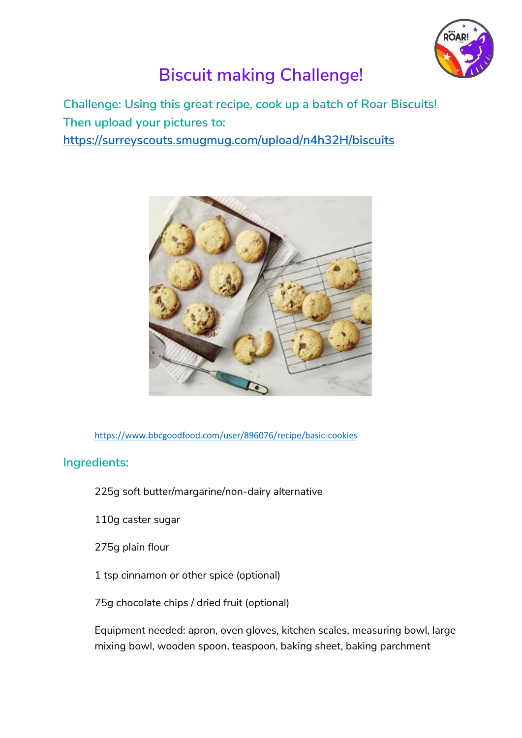

## **Biscuit making Challenge!**

**Challenge: Using this great recipe, cook up a batch of Roar Biscuits! Then upload your pictures to:**

**<https://surreyscouts.smugmug.com/upload/n4h32H/biscuits>**



<https://www.bbcgoodfood.com/user/896076/recipe/basic-cookies>

## **Ingredients:**

- 225g soft butter/margarine/non-dairy alternative
- 110g caster sugar
- 275g plain flour
- 1 tsp cinnamon or other spice (optional)
- 75g chocolate chips / dried fruit (optional)

Equipment needed: apron, oven gloves, kitchen scales, measuring bowl, large mixing bowl, wooden spoon, teaspoon, baking sheet, baking parchment